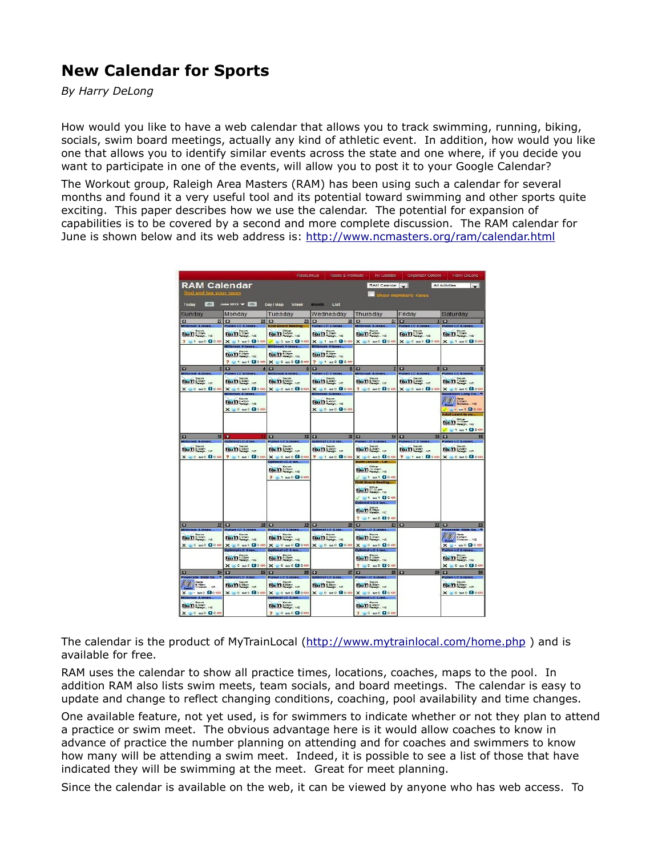## **New Calendar for Sports**

*By Harry DeLong*

How would you like to have a web calendar that allows you to track swimming, running, biking, socials, swim board meetings, actually any kind of athletic event. In addition, how would you like one that allows you to identify similar events across the state and one where, if you decide you want to participate in one of the events, will allow you to post it to your Google Calendar?

The Workout group, Raleigh Area Masters (RAM) has been using such a calendar for several months and found it a very useful tool and its potential toward swimming and other sports quite exciting. This paper describes how we use the calendar. The potential for expansion of capabilities is to be covered by a second and more complete discussion. The RAM calendar for June is shown below and its web address is: http://www.ncmasters.org/ram/calendar.html

|                                                                            |                                                             | RaceLinkup                                     | Races & Workouts -                           | My Updates                                                |                                           | Organizer Options -   Harry DeLong                                                                                                                                                                                                                                                                                                                               |
|----------------------------------------------------------------------------|-------------------------------------------------------------|------------------------------------------------|----------------------------------------------|-----------------------------------------------------------|-------------------------------------------|------------------------------------------------------------------------------------------------------------------------------------------------------------------------------------------------------------------------------------------------------------------------------------------------------------------------------------------------------------------|
| <b>RAM Calendar</b>                                                        |                                                             |                                                |                                              | RAM Calendar                                              |                                           | All Activities<br>$\sim$                                                                                                                                                                                                                                                                                                                                         |
| find and tag your races                                                    |                                                             |                                                |                                              |                                                           | Show members races                        |                                                                                                                                                                                                                                                                                                                                                                  |
| $\Box$ June 2012 $\blacktriangleright$<br>Day/Map Week Month List<br>Today |                                                             |                                                |                                              |                                                           |                                           |                                                                                                                                                                                                                                                                                                                                                                  |
| Sundav                                                                     | Monday                                                      | Tuesdav                                        | Wednesday                                    | Thursdav                                                  | Friday                                    | Saturday                                                                                                                                                                                                                                                                                                                                                         |
| $\mathbf{C}$<br>27                                                         | <b>C3</b><br>28                                             | $\mathbf{r}$<br>29<br><b>RAM Board Meetin</b>  | $\mathbf{C}$<br>30                           | <b>C3</b><br>31                                           | <b>ES</b>                                 | E3                                                                                                                                                                                                                                                                                                                                                               |
| $\lim_{x\to 0}$                                                            | $f_{\alpha_1}$ $f_{\alpha_2}$ $f_{\alpha_3}$ $f_{\alpha_4}$ | form and we                                    | $\lim_{x\to\infty}$                          | forms on ye                                               | $ran_{\infty}$                            | $\lim_{n \to \infty} \frac{1}{n}$                                                                                                                                                                                                                                                                                                                                |
| $P = 1$ and $Q$ ones                                                       | $X = 1$ and $0$ ones                                        | 3 2 mm 2 1 cm                                  | $X = 1$ and $0$ con-                         |                                                           | X 30 and Book X 30 and Book X 31 and Book |                                                                                                                                                                                                                                                                                                                                                                  |
|                                                                            |                                                             |                                                |                                              |                                                           |                                           |                                                                                                                                                                                                                                                                                                                                                                  |
|                                                                            | To massen NC<br>$? 31 \text{ and } 00 \text{ cm}$           | lainsson<br>X = 0 and Block                    | for nessen<br>7 31 80 80 00                  |                                                           |                                           |                                                                                                                                                                                                                                                                                                                                                                  |
| ю                                                                          | ю<br>4                                                      | $\overline{a}$                                 | E3                                           | <b>C3</b>                                                 | E3                                        | ю                                                                                                                                                                                                                                                                                                                                                                |
|                                                                            | on for the                                                  |                                                | a tana ta                                    |                                                           |                                           |                                                                                                                                                                                                                                                                                                                                                                  |
| $\lim_{x \to 0}$                                                           | $\sin \frac{\pi x}{2}$                                      | form seem ye                                   | $ran_{\infty}$                               | forms som vo                                              | $\lim_{x \to \infty} \frac{1}{x}$         | $\lim_{n\to\infty}$                                                                                                                                                                                                                                                                                                                                              |
| $X = 0$ and $\Omega$ $\infty$                                              | $X = 0$ and $\theta$ $\infty$                               | $X = 0$ and $0$ con                            | $X = 0$ and $\mathbf{Q}$ con                 | $? 30 = 0$ Good                                           | $X = 0$ and $\theta$ con                  | $X = 0$ and $0$ con<br>shore Long Co. 4                                                                                                                                                                                                                                                                                                                          |
|                                                                            | rain to the                                                 |                                                | rain the                                     |                                                           |                                           | <b>State</b><br>Science<br>Goldster, NC                                                                                                                                                                                                                                                                                                                          |
|                                                                            | $X = 0$ and $\mathbf{Q}$ one                                |                                                | $X = 0$ and $0$ con                          |                                                           |                                           | $-$ and $0$ co<br>duit Learn to sw.                                                                                                                                                                                                                                                                                                                              |
|                                                                            |                                                             |                                                |                                              |                                                           |                                           | $\lim_{n \to \infty} \frac{1}{n}$                                                                                                                                                                                                                                                                                                                                |
|                                                                            |                                                             |                                                |                                              |                                                           |                                           | and and <b>fillo</b> on                                                                                                                                                                                                                                                                                                                                          |
| 52                                                                         | $10 +$                                                      | E3<br>12                                       | $\mathbf{u}$                                 | $13$ $C$<br>14.1                                          | <b>C</b><br>15                            | E3<br>16                                                                                                                                                                                                                                                                                                                                                         |
| rook 4-lane                                                                | Collmist LC-1 bit                                           | Fullen LC 3 han<br><b>To in 1999</b>           | Dollmlist LC-3 la                            | fullen LC 3-lane                                          | <b>National C. S. Le</b>                  | Pollen LC 3-3<br><b>To magazine</b>                                                                                                                                                                                                                                                                                                                              |
| <b>Tout 1 Special AC</b>                                                   | To man<br>X = 0 mi0 (30 cm   ? = 1 mi1 (30 cm               | $X = 0$ and $\Omega$ can                       | <b>Form</b> story we<br>7 of and <b>Boon</b> | for name of<br>$X = 0$ and $\Omega$ one                   | <b>For many and MC</b><br>? 31 m1 @0 cm.  | X = 0 se 0 doco                                                                                                                                                                                                                                                                                                                                                  |
|                                                                            |                                                             | Doomist LC-1 la                                |                                              | Ewim Lesson - Lar.                                        |                                           |                                                                                                                                                                                                                                                                                                                                                                  |
|                                                                            |                                                             | <b>To many</b>                                 |                                              | $\lim_{n \to \infty}$                                     |                                           |                                                                                                                                                                                                                                                                                                                                                                  |
|                                                                            |                                                             | 2 = 1 and Block                                |                                              | $\angle$ = 1 set $\mathbf{3}$ cm<br><b>RAM Board Meet</b> |                                           |                                                                                                                                                                                                                                                                                                                                                                  |
|                                                                            |                                                             |                                                |                                              | for Determine                                             |                                           |                                                                                                                                                                                                                                                                                                                                                                  |
|                                                                            |                                                             |                                                |                                              | $1.81$ as 1.80 cm<br>Optimist LC-3 lan                    |                                           |                                                                                                                                                                                                                                                                                                                                                                  |
|                                                                            |                                                             |                                                |                                              | $r_{\rm o}$ $n_{\rm s}$ $\sim$                            |                                           |                                                                                                                                                                                                                                                                                                                                                                  |
|                                                                            |                                                             |                                                |                                              | 7 = 1 mm 0 (3 0 cm)                                       |                                           |                                                                                                                                                                                                                                                                                                                                                                  |
| ш<br>17                                                                    | <b>C3</b><br>13 <sup>°</sup>                                | $\overline{1}$<br>19                           | <b>E3</b><br>20                              | E3<br>21                                                  | $\overline{a}$<br>22                      | E3                                                                                                                                                                                                                                                                                                                                                               |
| $\lim_{x \to 0}$                                                           |                                                             |                                                | rain the se                                  |                                                           |                                           | Owerade 3<br>$\begin{picture}(180,10) \put(0,0){\line(1,0){15}} \put(10,0){\line(1,0){15}} \put(10,0){\line(1,0){15}} \put(10,0){\line(1,0){15}} \put(10,0){\line(1,0){15}} \put(10,0){\line(1,0){15}} \put(10,0){\line(1,0){15}} \put(10,0){\line(1,0){15}} \put(10,0){\line(1,0){15}} \put(10,0){\line(1,0){15}} \put(10,0){\line(1,0){15}} \put(10,0){\line($ |
| $X = 0$ and $\Omega$ can                                                   | $\lim_{x \to \infty}$<br>$X = 0$ and $0$ can                | <b>To matter</b><br>$X = 0$ and $0 = 0$        | $X = 0$ and $0$ con                          | $\lim_{x\to\infty}$<br>$X = 0$ and $0$ con                |                                           | X = and Boan                                                                                                                                                                                                                                                                                                                                                     |
|                                                                            | <b>Division of EAST</b>                                     | Dollard LC 33                                  |                                              | Optimist LC 3-tan                                         |                                           | <b>Pullen LC Allanes</b>                                                                                                                                                                                                                                                                                                                                         |
|                                                                            | To make you                                                 | Torn boom                                      |                                              | form and you                                              |                                           | <b>To:11</b> Spen NC                                                                                                                                                                                                                                                                                                                                             |
| ю<br>24                                                                    | $X = 0$ and $\Omega$ can<br>o<br>25                         | $X = 0$ and $\Omega$ can<br>$\mathbf{u}$<br>26 | $\blacksquare$<br>27                         | ? 0 0 0 0 0 0 0<br>$\bullet$                              | 28<br>29                                  | $X = 0$ and $\Omega$ con<br>o                                                                                                                                                                                                                                                                                                                                    |
| <b>TANA STA</b>                                                            | <b>SCALE OF AL</b>                                          | <b>STORE</b>                                   | <b>STEP</b>                                  | a barata                                                  |                                           |                                                                                                                                                                                                                                                                                                                                                                  |
| <b>ALC:</b>                                                                | rain the re                                                 | $\lim_{x \to \infty}$                          | form seem you                                | <b>Tailland</b>                                           |                                           | for news No                                                                                                                                                                                                                                                                                                                                                      |
| X = mo Bom                                                                 | X = 0 mno (Boan)                                            | $X = 0$ and $\Omega$ one<br>Optimist LC & Lan  | $X = 0$ and $\mathbf{Q}$ can                 | $X = 0$ and $\Omega$ occu<br>Octimist LC 3-lan.           |                                           | $X = 0$ and $\Omega$ con                                                                                                                                                                                                                                                                                                                                         |
| $\lim_{x \to 0}$                                                           |                                                             | $\mathbf{F}$ $\mathbf{m}$                      |                                              | $\mathbf{r}$ $\mathbf{n}$                                 |                                           |                                                                                                                                                                                                                                                                                                                                                                  |
| $X = 0$ and $Q$ o and                                                      |                                                             | 2.60000000                                     |                                              | ? 0 0 0 0 0 0 0 0                                         |                                           |                                                                                                                                                                                                                                                                                                                                                                  |

The calendar is the product of MyTrainLocal (http://www.mytrainlocal.com/home.php) and is available for free.

RAM uses the calendar to show all practice times, locations, coaches, maps to the pool. In addition RAM also lists swim meets, team socials, and board meetings. The calendar is easy to update and change to reflect changing conditions, coaching, pool availability and time changes.

One available feature, not yet used, is for swimmers to indicate whether or not they plan to attend a practice or swim meet. The obvious advantage here is it would allow coaches to know in advance of practice the number planning on attending and for coaches and swimmers to know how many will be attending a swim meet. Indeed, it is possible to see a list of those that have indicated they will be swimming at the meet. Great for meet planning.

Since the calendar is available on the web, it can be viewed by anyone who has web access. To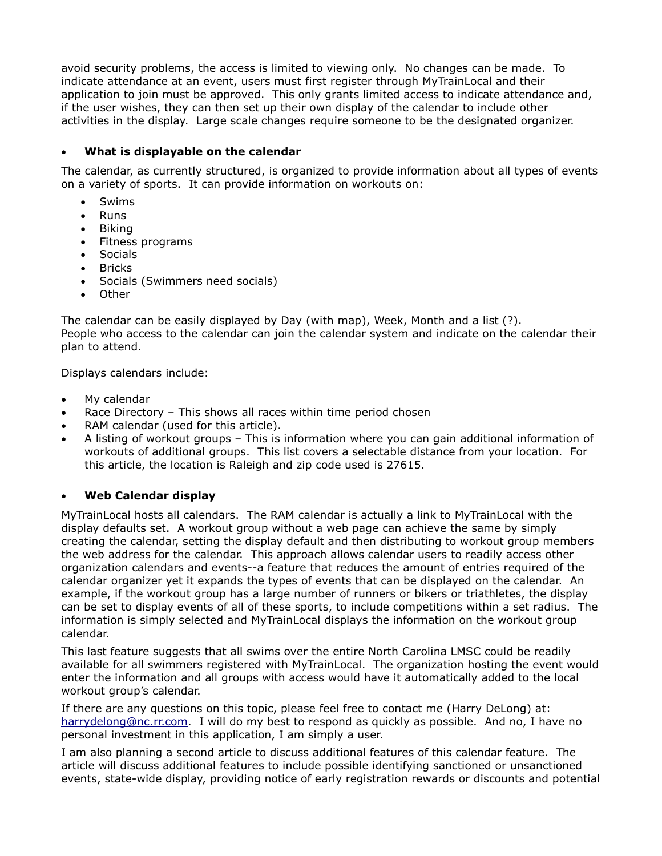avoid security problems, the access is limited to viewing only. No changes can be made. To indicate attendance at an event, users must first register through MyTrainLocal and their application to join must be approved. This only grants limited access to indicate attendance and, if the user wishes, they can then set up their own display of the calendar to include other activities in the display. Large scale changes require someone to be the designated organizer.

## **What is displayable on the calendar**

The calendar, as currently structured, is organized to provide information about all types of events on a variety of sports. It can provide information on workouts on:

- Swims
- Runs
- Biking
- Fitness programs
- Socials
- Bricks
- Socials (Swimmers need socials)
- Other

The calendar can be easily displayed by Day (with map), Week, Month and a list (?). People who access to the calendar can join the calendar system and indicate on the calendar their plan to attend.

Displays calendars include:

- My calendar
- Race Directory This shows all races within time period chosen
- RAM calendar (used for this article).
- A listing of workout groups This is information where you can gain additional information of workouts of additional groups. This list covers a selectable distance from your location. For this article, the location is Raleigh and zip code used is 27615.

## **Web Calendar display**

MyTrainLocal hosts all calendars. The RAM calendar is actually a link to MyTrainLocal with the display defaults set. A workout group without a web page can achieve the same by simply creating the calendar, setting the display default and then distributing to workout group members the web address for the calendar. This approach allows calendar users to readily access other organization calendars and events--a feature that reduces the amount of entries required of the calendar organizer yet it expands the types of events that can be displayed on the calendar. An example, if the workout group has a large number of runners or bikers or triathletes, the display can be set to display events of all of these sports, to include competitions within a set radius. The information is simply selected and MyTrainLocal displays the information on the workout group calendar.

This last feature suggests that all swims over the entire North Carolina LMSC could be readily available for all swimmers registered with MyTrainLocal. The organization hosting the event would enter the information and all groups with access would have it automatically added to the local workout group's calendar.

If there are any questions on this topic, please feel free to contact me (Harry DeLong) at: harrydelong@nc.rr.com. I will do my best to respond as quickly as possible. And no, I have no personal investment in this application, I am simply a user.

I am also planning a second article to discuss additional features of this calendar feature. The article will discuss additional features to include possible identifying sanctioned or unsanctioned events, state-wide display, providing notice of early registration rewards or discounts and potential